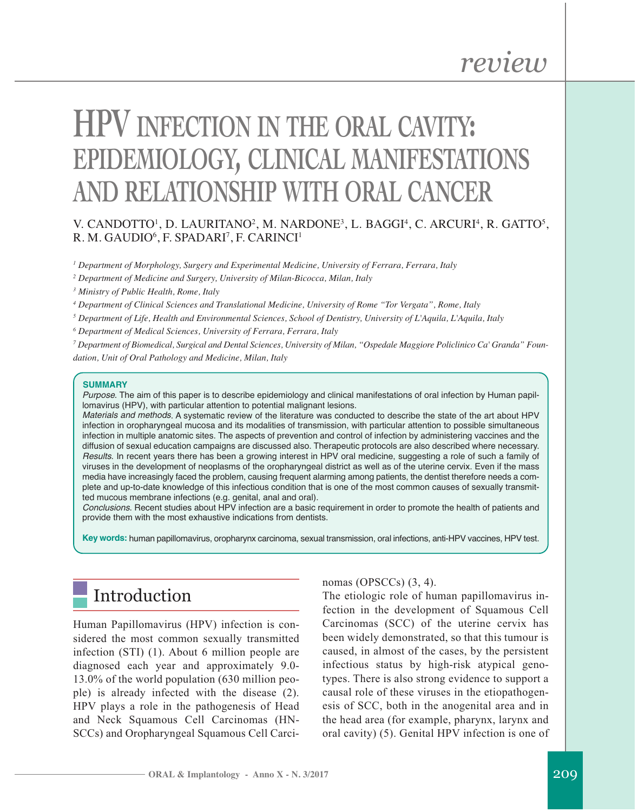# *review*

# **HPV INFECTION IN THE ORAL CAVITY: EPIDEMIOLOGY, CLINICAL MANIFESTATIONS AND RELATIONSHIP WITH ORAL CANCER**

#### V. CANDOTTO<sup>i</sup>, D. LAURITANO<sup>2</sup>, M. NARDONE<sup>3</sup>, L. BAGGI<sup>4</sup>, C. ARCURI<sup>4</sup>, R. GATTO<sup>5</sup>, R. M. GAUDIO<sup>6</sup>, F. SPADARI<sup>7</sup>, F. CARINCI<sup>1</sup>

*<sup>1</sup> Department of Morphology, Surgery and Experimental Medicine, University of Ferrara, Ferrara, Italy*

*<sup>2</sup> Department of Medicine and Surgery, University of Milan-Bicocca, Milan, Italy*

*<sup>3</sup> Ministry of Public Health, Rome, Italy*

*<sup>4</sup> Department of Clinical Sciences and Translational Medicine, University of Rome "Tor Vergata", Rome, Italy*

<sup>5</sup> Department of Life, Health and Environmental Sciences, School of Dentistry, University of L'Aquila, L'Aquila, Italy

*<sup>6</sup> Department of Medical Sciences, University of Ferrara, Ferrara, Italy*

7 Department of Biomedical, Surgical and Dental Sciences, University of Milan, "Ospedale Maggiore Policlinico Ca' Granda" Foun*dation, Unit of Oral Pathology and Medicine, Milan, Italy*

#### **SUMMARY**

Purpose. The aim of this paper is to describe epidemiology and clinical manifestations of oral infection by Human papillomavirus (HPV), with particular attention to potential malignant lesions.

Materials and methods. A systematic review of the literature was conducted to describe the state of the art about HPV infection in oropharyngeal mucosa and its modalities of transmission, with particular attention to possible simultaneous infection in multiple anatomic sites. The aspects of prevention and control of infection by administering vaccines and the diffusion of sexual education campaigns are discussed also. Therapeutic protocols are also described where necessary. Results. In recent years there has been a growing interest in HPV oral medicine, suggesting a role of such a family of viruses in the development of neoplasms of the oropharyngeal district as well as of the uterine cervix. Even if the mass media have increasingly faced the problem, causing frequent alarming among patients, the dentist therefore needs a complete and up-to-date knowledge of this infectious condition that is one of the most common causes of sexually transmitted mucous membrane infections (e.g. genital, anal and oral).

Conclusions. Recent studies about HPV infection are a basic requirement in order to promote the health of patients and provide them with the most exhaustive indications from dentists.

**Key words:** human papillomavirus, oropharynx carcinoma, sexual transmission, oral infections, anti-HPV vaccines, HPV test.

### Introduction

Human Papillomavirus (HPV) infection is considered the most common sexually transmitted infection (STI) (1). About 6 million people are diagnosed each year and approximately 9.0- 13.0% of the world population (630 million people) is already infected with the disease (2). HPV plays a role in the pathogenesis of Head and Neck Squamous Cell Carcinomas (HN-SCCs) and Oropharyngeal Squamous Cell Carci-

#### nomas (OPSCCs) (3, 4).

The etiologic role of human papillomavirus infection in the development of Squamous Cell Carcinomas (SCC) of the uterine cervix has been widely demonstrated, so that this tumour is caused, in almost of the cases, by the persistent infectious status by high-risk atypical genotypes. There is also strong evidence to support a causal role of these viruses in the etiopathogenesis of SCC, both in the anogenital area and in the head area (for example, pharynx, larynx and oral cavity) (5). Genital HPV infection is one of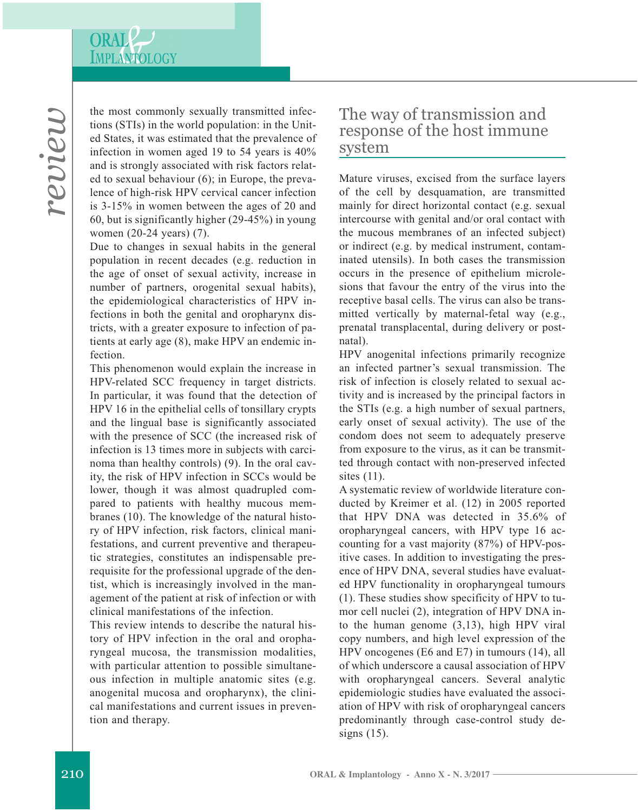

the most commonly sexually transmitted infections (STIs) in the world population: in the United States, it was estimated that the prevalence of infection in women aged 19 to 54 years is 40% and is strongly associated with risk factors related to sexual behaviour (6); in Europe, the prevalence of high-risk HPV cervical cancer infection is 3-15% in women between the ages of 20 and 60, but is significantly higher (29-45%) in young women (20-24 years) (7).

Due to changes in sexual habits in the general population in recent decades (e.g. reduction in the age of onset of sexual activity, increase in number of partners, orogenital sexual habits), the epidemiological characteristics of HPV infections in both the genital and oropharynx districts, with a greater exposure to infection of patients at early age (8), make HPV an endemic infection.

This phenomenon would explain the increase in HPV-related SCC frequency in target districts. In particular, it was found that the detection of HPV 16 in the epithelial cells of tonsillary crypts and the lingual base is significantly associated with the presence of SCC (the increased risk of infection is 13 times more in subjects with carcinoma than healthy controls) (9). In the oral cavity, the risk of HPV infection in SCCs would be lower, though it was almost quadrupled compared to patients with healthy mucous membranes (10). The knowledge of the natural history of HPV infection, risk factors, clinical manifestations, and current preventive and therapeutic strategies, constitutes an indispensable prerequisite for the professional upgrade of the dentist, which is increasingly involved in the management of the patient at risk of infection or with clinical manifestations of the infection.

This review intends to describe the natural history of HPV infection in the oral and oropharyngeal mucosa, the transmission modalities, with particular attention to possible simultaneous infection in multiple anatomic sites (e.g. anogenital mucosa and oropharynx), the clinical manifestations and current issues in prevention and therapy.

#### The way of transmission and response of the host immune system

Mature viruses, excised from the surface layers of the cell by desquamation, are transmitted mainly for direct horizontal contact (e.g. sexual intercourse with genital and/or oral contact with the mucous membranes of an infected subject) or indirect (e.g. by medical instrument, contaminated utensils). In both cases the transmission occurs in the presence of epithelium microlesions that favour the entry of the virus into the receptive basal cells. The virus can also be transmitted vertically by maternal-fetal way (e.g., prenatal transplacental, during delivery or postnatal).

HPV anogenital infections primarily recognize an infected partner's sexual transmission. The risk of infection is closely related to sexual activity and is increased by the principal factors in the STIs (e.g. a high number of sexual partners, early onset of sexual activity). The use of the condom does not seem to adequately preserve from exposure to the virus, as it can be transmitted through contact with non-preserved infected sites (11).

A systematic review of worldwide literature conducted by Kreimer et al. (12) in 2005 reported that HPV DNA was detected in 35.6% of oropharyngeal cancers, with HPV type 16 accounting for a vast majority (87%) of HPV-positive cases. In addition to investigating the presence of HPV DNA, several studies have evaluated HPV functionality in oropharyngeal tumours (1). These studies show specificity of HPV to tumor cell nuclei (2), integration of HPV DNA into the human genome (3,13), high HPV viral copy numbers, and high level expression of the HPV oncogenes (E6 and E7) in tumours (14), all of which underscore a causal association of HPV with oropharyngeal cancers. Several analytic epidemiologic studies have evaluated the association of HPV with risk of oropharyngeal cancers predominantly through case-control study designs (15).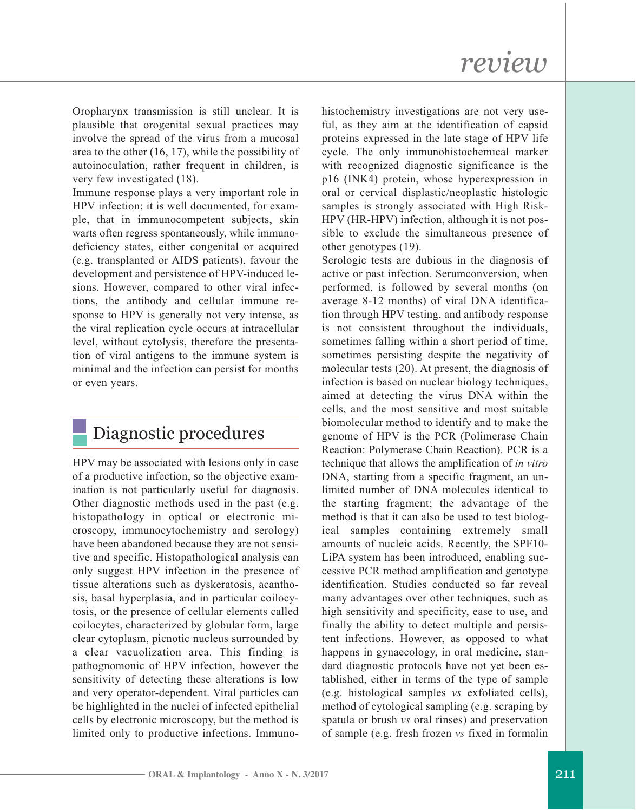Oropharynx transmission is still unclear. It is plausible that orogenital sexual practices may involve the spread of the virus from a mucosal area to the other (16, 17), while the possibility of autoinoculation, rather frequent in children, is very few investigated (18).

Immune response plays a very important role in HPV infection; it is well documented, for example, that in immunocompetent subjects, skin warts often regress spontaneously, while immunodeficiency states, either congenital or acquired (e.g. transplanted or AIDS patients), favour the development and persistence of HPV-induced lesions. However, compared to other viral infections, the antibody and cellular immune response to HPV is generally not very intense, as the viral replication cycle occurs at intracellular level, without cytolysis, therefore the presentation of viral antigens to the immune system is minimal and the infection can persist for months or even years.

# Diagnostic procedures

HPV may be associated with lesions only in case of a productive infection, so the objective examination is not particularly useful for diagnosis. Other diagnostic methods used in the past (e.g. histopathology in optical or electronic microscopy, immunocytochemistry and serology) have been abandoned because they are not sensitive and specific. Histopathological analysis can only suggest HPV infection in the presence of tissue alterations such as dyskeratosis, acanthosis, basal hyperplasia, and in particular coilocytosis, or the presence of cellular elements called coilocytes, characterized by globular form, large clear cytoplasm, picnotic nucleus surrounded by a clear vacuolization area. This finding is pathognomonic of HPV infection, however the sensitivity of detecting these alterations is low and very operator-dependent. Viral particles can be highlighted in the nuclei of infected epithelial cells by electronic microscopy, but the method is limited only to productive infections. Immunohistochemistry investigations are not very useful, as they aim at the identification of capsid proteins expressed in the late stage of HPV life cycle. The only immunohistochemical marker with recognized diagnostic significance is the p16 (INK4) protein, whose hyperexpression in oral or cervical displastic/neoplastic histologic samples is strongly associated with High Risk-HPV (HR-HPV) infection, although it is not possible to exclude the simultaneous presence of other genotypes (19).

Serologic tests are dubious in the diagnosis of active or past infection. Serumconversion, when performed, is followed by several months (on average 8-12 months) of viral DNA identification through HPV testing, and antibody response is not consistent throughout the individuals, sometimes falling within a short period of time, sometimes persisting despite the negativity of molecular tests (20). At present, the diagnosis of infection is based on nuclear biology techniques, aimed at detecting the virus DNA within the cells, and the most sensitive and most suitable biomolecular method to identify and to make the genome of HPV is the PCR (Polimerase Chain Reaction: Polymerase Chain Reaction). PCR is a technique that allows the amplification of *in vitro* DNA, starting from a specific fragment, an unlimited number of DNA molecules identical to the starting fragment; the advantage of the method is that it can also be used to test biological samples containing extremely small amounts of nucleic acids. Recently, the SPF10- LiPA system has been introduced, enabling successive PCR method amplification and genotype identification. Studies conducted so far reveal many advantages over other techniques, such as high sensitivity and specificity, ease to use, and finally the ability to detect multiple and persistent infections. However, as opposed to what happens in gynaecology, in oral medicine, standard diagnostic protocols have not yet been established, either in terms of the type of sample (e.g. histological samples *vs* exfoliated cells), method of cytological sampling (e.g. scraping by spatula or brush *vs* oral rinses) and preservation of sample (e.g. fresh frozen *vs* fixed in formalin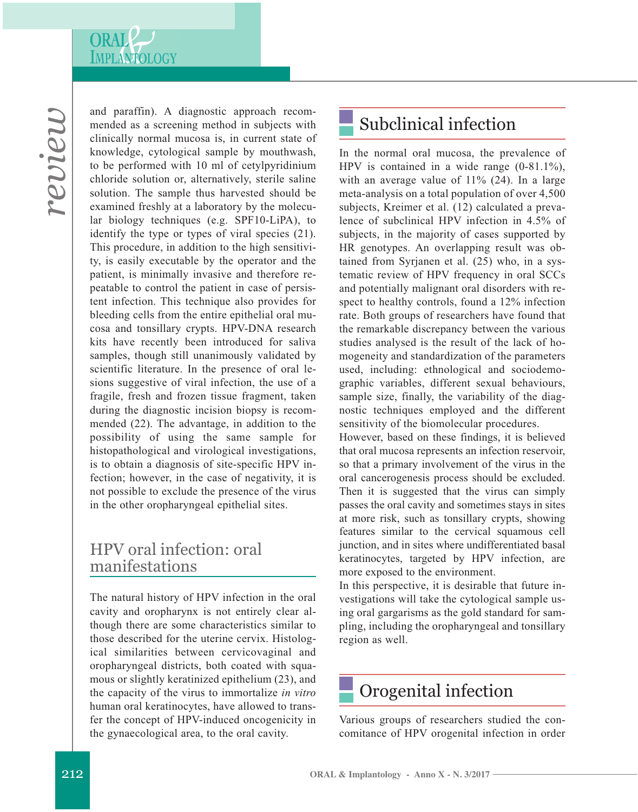

and paraffin). A diagnostic approach recommended as a screening method in subjects with clinically normal mucosa is, in current state of knowledge, cytological sample by mouthwash, to be performed with 10 ml of cetylpyridinium chloride solution or, alternatively, sterile saline solution. The sample thus harvested should be examined freshly at a laboratory by the molecular biology techniques (e.g. SPF10-LiPA), to identify the type or types of viral species (21). This procedure, in addition to the high sensitivity, is easily executable by the operator and the patient, is minimally invasive and therefore repeatable to control the patient in case of persistent infection. This technique also provides for bleeding cells from the entire epithelial oral mucosa and tonsillary crypts. HPV-DNA research kits have recently been introduced for saliva samples, though still unanimously validated by scientific literature. In the presence of oral lesions suggestive of viral infection, the use of a fragile, fresh and frozen tissue fragment, taken during the diagnostic incision biopsy is recommended (22). The advantage, in addition to the possibility of using the same sample for histopathological and virological investigations, is to obtain a diagnosis of site-specific HPV infection; however, in the case of negativity, it is not possible to exclude the presence of the virus in the other oropharyngeal epithelial sites.

#### HPV oral infection: oral manifestations

The natural history of HPV infection in the oral cavity and oropharynx is not entirely clear although there are some characteristics similar to those described for the uterine cervix. Histological similarities between cervicovaginal and oropharyngeal districts, both coated with squamous or slightly keratinized epithelium (23), and the capacity of the virus to immortalize *in vitro* human oral keratinocytes, have allowed to transfer the concept of HPV-induced oncogenicity in the gynaecological area, to the oral cavity.

# Subclinical infection

In the normal oral mucosa, the prevalence of HPV is contained in a wide range (0-81.1%), with an average value of 11% (24). In a large meta-analysis on a total population of over 4,500 subjects, Kreimer et al. (12) calculated a prevalence of subclinical HPV infection in 4.5% of subjects, in the majority of cases supported by HR genotypes. An overlapping result was obtained from Syrjanen et al. (25) who, in a systematic review of HPV frequency in oral SCCs and potentially malignant oral disorders with respect to healthy controls, found a 12% infection rate. Both groups of researchers have found that the remarkable discrepancy between the various studies analysed is the result of the lack of homogeneity and standardization of the parameters used, including: ethnological and sociodemographic variables, different sexual behaviours, sample size, finally, the variability of the diagnostic techniques employed and the different sensitivity of the biomolecular procedures.

However, based on these findings, it is believed that oral mucosa represents an infection reservoir, so that a primary involvement of the virus in the oral cancerogenesis process should be excluded. Then it is suggested that the virus can simply passes the oral cavity and sometimes stays in sites at more risk, such as tonsillary crypts, showing features similar to the cervical squamous cell junction, and in sites where undifferentiated basal keratinocytes, targeted by HPV infection, are more exposed to the environment.

In this perspective, it is desirable that future investigations will take the cytological sample using oral gargarisms as the gold standard for sampling, including the oropharyngeal and tonsillary region as well.

### Orogenital infection

Various groups of researchers studied the concomitance of HPV orogenital infection in order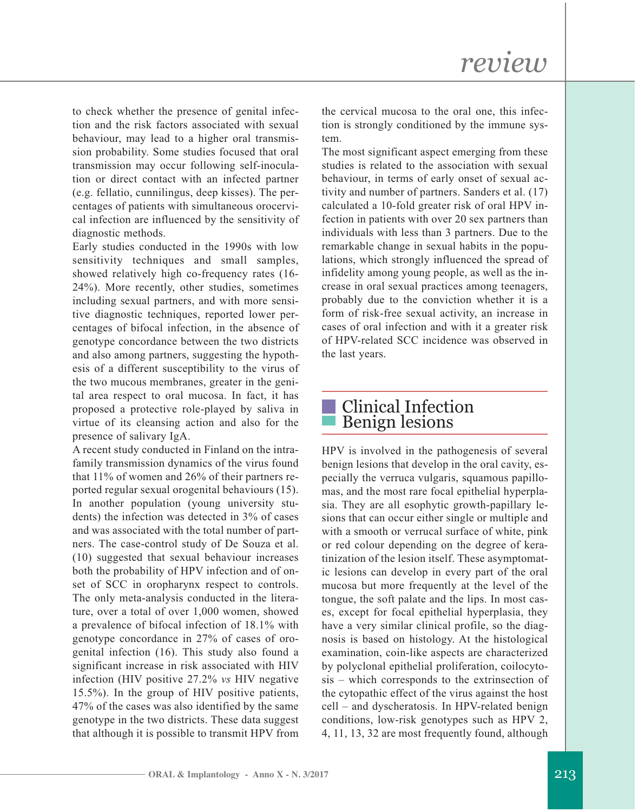to check whether the presence of genital infection and the risk factors associated with sexual behaviour, may lead to a higher oral transmission probability. Some studies focused that oral transmission may occur following self-inoculation or direct contact with an infected partner (e.g. fellatio, cunnilingus, deep kisses). The percentages of patients with simultaneous orocervical infection are influenced by the sensitivity of diagnostic methods.

Early studies conducted in the 1990s with low sensitivity techniques and small samples, showed relatively high co-frequency rates (16- 24%). More recently, other studies, sometimes including sexual partners, and with more sensitive diagnostic techniques, reported lower percentages of bifocal infection, in the absence of genotype concordance between the two districts and also among partners, suggesting the hypothesis of a different susceptibility to the virus of the two mucous membranes, greater in the genital area respect to oral mucosa. In fact, it has proposed a protective role-played by saliva in virtue of its cleansing action and also for the presence of salivary IgA.

A recent study conducted in Finland on the intrafamily transmission dynamics of the virus found that 11% of women and 26% of their partners reported regular sexual orogenital behaviours (15). In another population (young university students) the infection was detected in 3% of cases and was associated with the total number of partners. The case-control study of De Souza et al. (10) suggested that sexual behaviour increases both the probability of HPV infection and of onset of SCC in oropharynx respect to controls. The only meta-analysis conducted in the literature, over a total of over 1,000 women, showed a prevalence of bifocal infection of 18.1% with genotype concordance in 27% of cases of orogenital infection (16). This study also found a significant increase in risk associated with HIV infection (HIV positive 27.2% *vs* HIV negative 15.5%). In the group of HIV positive patients, 47% of the cases was also identified by the same genotype in the two districts. These data suggest that although it is possible to transmit HPV from the cervical mucosa to the oral one, this infection is strongly conditioned by the immune system.

The most significant aspect emerging from these studies is related to the association with sexual behaviour, in terms of early onset of sexual activity and number of partners. Sanders et al. (17) calculated a 10-fold greater risk of oral HPV infection in patients with over 20 sex partners than individuals with less than 3 partners. Due to the remarkable change in sexual habits in the populations, which strongly influenced the spread of infidelity among young people, as well as the increase in oral sexual practices among teenagers, probably due to the conviction whether it is a form of risk-free sexual activity, an increase in cases of oral infection and with it a greater risk of HPV-related SCC incidence was observed in the last years.

#### Clinical Infection Benign lesions

HPV is involved in the pathogenesis of several benign lesions that develop in the oral cavity, especially the verruca vulgaris, squamous papillomas, and the most rare focal epithelial hyperplasia. They are all esophytic growth-papillary lesions that can occur either single or multiple and with a smooth or verrucal surface of white, pink or red colour depending on the degree of keratinization of the lesion itself. These asymptomatic lesions can develop in every part of the oral mucosa but more frequently at the level of the tongue, the soft palate and the lips. In most cases, except for focal epithelial hyperplasia, they have a very similar clinical profile, so the diagnosis is based on histology. At the histological examination, coin-like aspects are characterized by polyclonal epithelial proliferation, coilocytosis – which corresponds to the extrinsection of the cytopathic effect of the virus against the host cell – and dyscheratosis. In HPV-related benign conditions, low-risk genotypes such as HPV 2, 4, 11, 13, 32 are most frequently found, although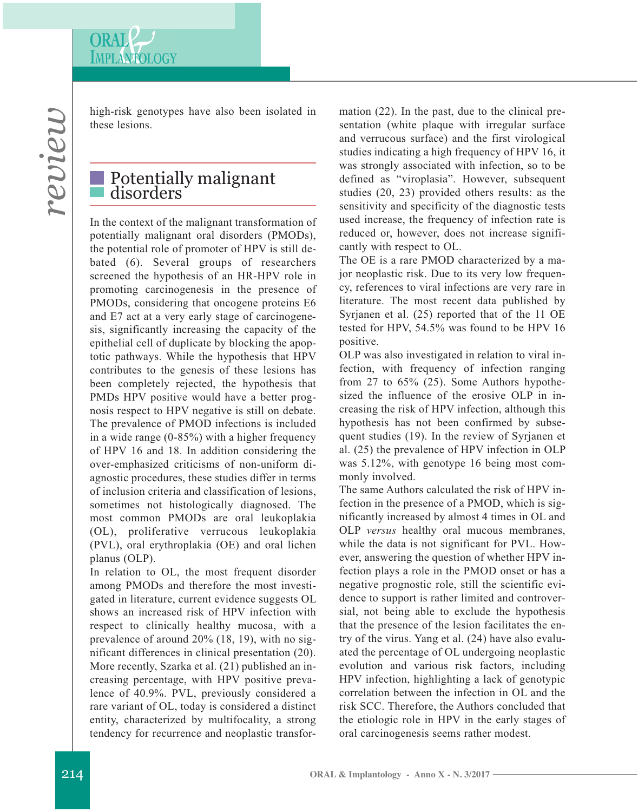ORAL **IMPLANTOLOGY** 

high-risk genotypes have also been isolated in these lesions.

#### Potentially malignant disorders

In the context of the malignant transformation of potentially malignant oral disorders (PMODs), the potential role of promoter of HPV is still debated (6). Several groups of researchers screened the hypothesis of an HR-HPV role in promoting carcinogenesis in the presence of PMODs, considering that oncogene proteins E6 and E7 act at a very early stage of carcinogenesis, significantly increasing the capacity of the epithelial cell of duplicate by blocking the apoptotic pathways. While the hypothesis that HPV contributes to the genesis of these lesions has been completely rejected, the hypothesis that PMDs HPV positive would have a better prognosis respect to HPV negative is still on debate. The prevalence of PMOD infections is included in a wide range (0-85%) with a higher frequency of HPV 16 and 18. In addition considering the over-emphasized criticisms of non-uniform diagnostic procedures, these studies differ in terms of inclusion criteria and classification of lesions, sometimes not histologically diagnosed. The most common PMODs are oral leukoplakia (OL), proliferative verrucous leukoplakia (PVL), oral erythroplakia (OE) and oral lichen planus (OLP).

In relation to OL, the most frequent disorder among PMODs and therefore the most investigated in literature, current evidence suggests OL shows an increased risk of HPV infection with respect to clinically healthy mucosa, with a prevalence of around 20% (18, 19), with no significant differences in clinical presentation (20). More recently, Szarka et al. (21) published an increasing percentage, with HPV positive prevalence of 40.9%. PVL, previously considered a rare variant of OL, today is considered a distinct entity, characterized by multifocality, a strong tendency for recurrence and neoplastic transformation (22). In the past, due to the clinical presentation (white plaque with irregular surface and verrucous surface) and the first virological studies indicating a high frequency of HPV 16, it was strongly associated with infection, so to be defined as "viroplasia". However, subsequent studies (20, 23) provided others results: as the sensitivity and specificity of the diagnostic tests used increase, the frequency of infection rate is reduced or, however, does not increase significantly with respect to OL.

The OE is a rare PMOD characterized by a major neoplastic risk. Due to its very low frequency, references to viral infections are very rare in literature. The most recent data published by Syrjanen et al. (25) reported that of the 11 OE tested for HPV, 54.5% was found to be HPV 16 positive.

OLP was also investigated in relation to viral infection, with frequency of infection ranging from 27 to 65% (25). Some Authors hypothesized the influence of the erosive OLP in increasing the risk of HPV infection, although this hypothesis has not been confirmed by subsequent studies (19). In the review of Syrjanen et al. (25) the prevalence of HPV infection in OLP was 5.12%, with genotype 16 being most commonly involved.

The same Authors calculated the risk of HPV infection in the presence of a PMOD, which is significantly increased by almost 4 times in OL and OLP *versus* healthy oral mucous membranes, while the data is not significant for PVL. However, answering the question of whether HPV infection plays a role in the PMOD onset or has a negative prognostic role, still the scientific evidence to support is rather limited and controversial, not being able to exclude the hypothesis that the presence of the lesion facilitates the entry of the virus. Yang et al. (24) have also evaluated the percentage of OL undergoing neoplastic evolution and various risk factors, including HPV infection, highlighting a lack of genotypic correlation between the infection in OL and the risk SCC. Therefore, the Authors concluded that the etiologic role in HPV in the early stages of oral carcinogenesis seems rather modest.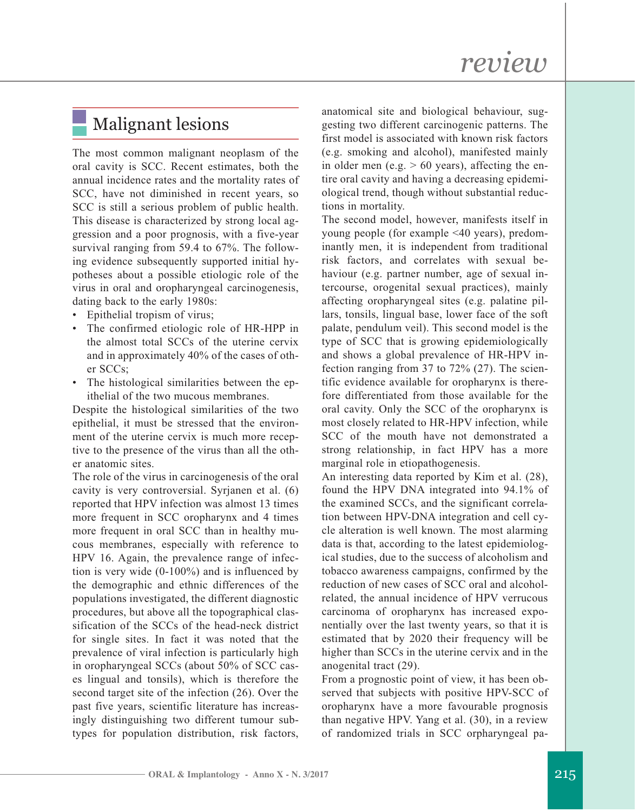# Malignant lesions

The most common malignant neoplasm of the oral cavity is SCC. Recent estimates, both the annual incidence rates and the mortality rates of SCC, have not diminished in recent years, so SCC is still a serious problem of public health. This disease is characterized by strong local aggression and a poor prognosis, with a five-year survival ranging from 59.4 to 67%. The following evidence subsequently supported initial hypotheses about a possible etiologic role of the virus in oral and oropharyngeal carcinogenesis, dating back to the early 1980s:

- Epithelial tropism of virus;
- The confirmed etiologic role of HR-HPP in the almost total SCCs of the uterine cervix and in approximately 40% of the cases of other SCCs;
- The histological similarities between the epithelial of the two mucous membranes.

Despite the histological similarities of the two epithelial, it must be stressed that the environment of the uterine cervix is much more receptive to the presence of the virus than all the other anatomic sites.

The role of the virus in carcinogenesis of the oral cavity is very controversial. Syrjanen et al. (6) reported that HPV infection was almost 13 times more frequent in SCC oropharynx and 4 times more frequent in oral SCC than in healthy mucous membranes, especially with reference to HPV 16. Again, the prevalence range of infection is very wide (0-100%) and is influenced by the demographic and ethnic differences of the populations investigated, the different diagnostic procedures, but above all the topographical classification of the SCCs of the head-neck district for single sites. In fact it was noted that the prevalence of viral infection is particularly high in oropharyngeal SCCs (about 50% of SCC cases lingual and tonsils), which is therefore the second target site of the infection (26). Over the past five years, scientific literature has increasingly distinguishing two different tumour subtypes for population distribution, risk factors,

anatomical site and biological behaviour, suggesting two different carcinogenic patterns. The first model is associated with known risk factors (e.g. smoking and alcohol), manifested mainly in older men (e.g.  $> 60$  years), affecting the entire oral cavity and having a decreasing epidemiological trend, though without substantial reductions in mortality.

The second model, however, manifests itself in young people (for example <40 years), predominantly men, it is independent from traditional risk factors, and correlates with sexual behaviour (e.g. partner number, age of sexual intercourse, orogenital sexual practices), mainly affecting oropharyngeal sites (e.g. palatine pillars, tonsils, lingual base, lower face of the soft palate, pendulum veil). This second model is the type of SCC that is growing epidemiologically and shows a global prevalence of HR-HPV infection ranging from 37 to 72% (27). The scientific evidence available for oropharynx is therefore differentiated from those available for the oral cavity. Only the SCC of the oropharynx is most closely related to HR-HPV infection, while SCC of the mouth have not demonstrated a strong relationship, in fact HPV has a more marginal role in etiopathogenesis.

An interesting data reported by Kim et al. (28), found the HPV DNA integrated into 94.1% of the examined SCCs, and the significant correlation between HPV-DNA integration and cell cycle alteration is well known. The most alarming data is that, according to the latest epidemiological studies, due to the success of alcoholism and tobacco awareness campaigns, confirmed by the reduction of new cases of SCC oral and alcoholrelated, the annual incidence of HPV verrucous carcinoma of oropharynx has increased exponentially over the last twenty years, so that it is estimated that by 2020 their frequency will be higher than SCCs in the uterine cervix and in the anogenital tract (29).

From a prognostic point of view, it has been observed that subjects with positive HPV-SCC of oropharynx have a more favourable prognosis than negative HPV. Yang et al. (30), in a review of randomized trials in SCC orpharyngeal pa-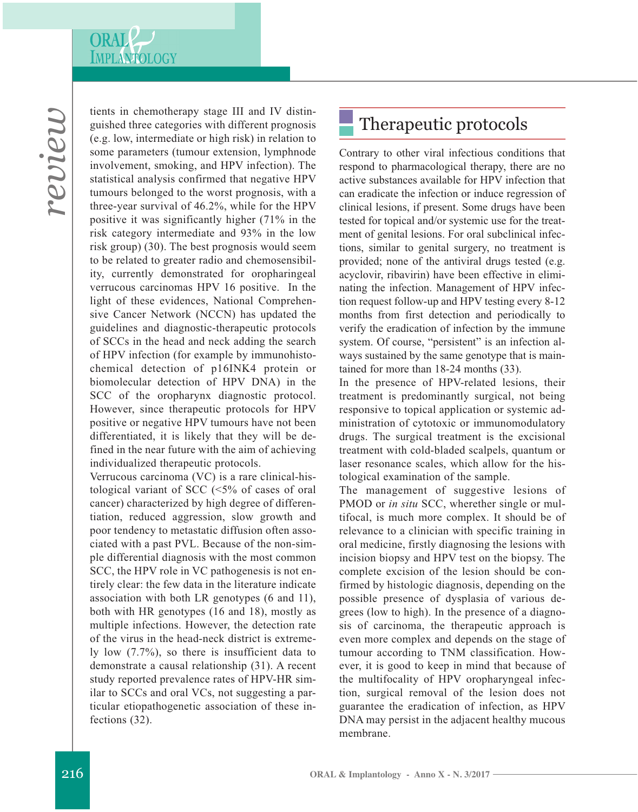

*re v i e w* tients in chemotherapy stage III and IV distinguished three categories with different prognosis (e.g. low, intermediate or high risk) in relation to some parameters (tumour extension, lymphnode involvement, smoking, and HPV infection). The statistical analysis confirmed that negative HPV tumours belonged to the worst prognosis, with a three-year survival of 46.2%, while for the HPV positive it was significantly higher (71% in the risk category intermediate and 93% in the low risk group) (30). The best prognosis would seem to be related to greater radio and chemosensibility, currently demonstrated for oropharingeal verrucous carcinomas HPV 16 positive. In the light of these evidences, National Comprehensive Cancer Network (NCCN) has updated the guidelines and diagnostic-therapeutic protocols of SCCs in the head and neck adding the search of HPV infection (for example by immunohistochemical detection of p16INK4 protein or biomolecular detection of HPV DNA) in the SCC of the oropharynx diagnostic protocol. However, since therapeutic protocols for HPV positive or negative HPV tumours have not been differentiated, it is likely that they will be defined in the near future with the aim of achieving individualized therapeutic protocols.

Verrucous carcinoma (VC) is a rare clinical-histological variant of SCC (<5% of cases of oral cancer) characterized by high degree of differentiation, reduced aggression, slow growth and poor tendency to metastatic diffusion often associated with a past PVL. Because of the non-simple differential diagnosis with the most common SCC, the HPV role in VC pathogenesis is not entirely clear: the few data in the literature indicate association with both LR genotypes (6 and 11), both with HR genotypes (16 and 18), mostly as multiple infections. However, the detection rate of the virus in the head-neck district is extremely low (7.7%), so there is insufficient data to demonstrate a causal relationship (31). A recent study reported prevalence rates of HPV-HR similar to SCCs and oral VCs, not suggesting a particular etiopathogenetic association of these infections (32).

# Therapeutic protocols

Contrary to other viral infectious conditions that respond to pharmacological therapy, there are no active substances available for HPV infection that can eradicate the infection or induce regression of clinical lesions, if present. Some drugs have been tested for topical and/or systemic use for the treatment of genital lesions. For oral subclinical infections, similar to genital surgery, no treatment is provided; none of the antiviral drugs tested (e.g. acyclovir, ribavirin) have been effective in eliminating the infection. Management of HPV infection request follow-up and HPV testing every 8-12 months from first detection and periodically to verify the eradication of infection by the immune system. Of course, "persistent" is an infection always sustained by the same genotype that is maintained for more than 18-24 months (33).

In the presence of HPV-related lesions, their treatment is predominantly surgical, not being responsive to topical application or systemic administration of cytotoxic or immunomodulatory drugs. The surgical treatment is the excisional treatment with cold-bladed scalpels, quantum or laser resonance scales, which allow for the histological examination of the sample.

The management of suggestive lesions of PMOD or *in situ* SCC, wherether single or multifocal, is much more complex. It should be of relevance to a clinician with specific training in oral medicine, firstly diagnosing the lesions with incision biopsy and HPV test on the biopsy. The complete excision of the lesion should be confirmed by histologic diagnosis, depending on the possible presence of dysplasia of various degrees (low to high). In the presence of a diagnosis of carcinoma, the therapeutic approach is even more complex and depends on the stage of tumour according to TNM classification. However, it is good to keep in mind that because of the multifocality of HPV oropharyngeal infection, surgical removal of the lesion does not guarantee the eradication of infection, as HPV DNA may persist in the adjacent healthy mucous membrane.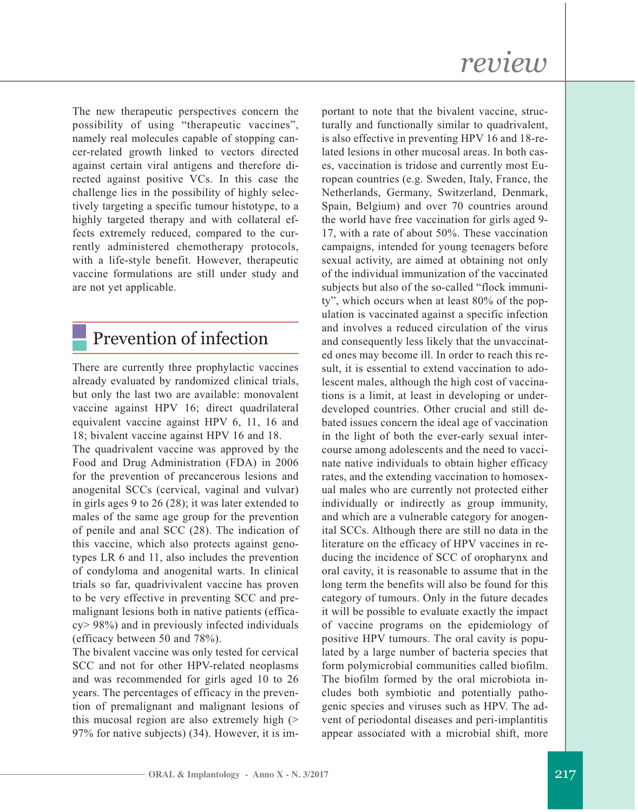The new therapeutic perspectives concern the possibility of using "therapeutic vaccines", namely real molecules capable of stopping cancer-related growth linked to vectors directed against certain viral antigens and therefore directed against positive VCs. In this case the challenge lies in the possibility of highly selectively targeting a specific tumour histotype, to a highly targeted therapy and with collateral effects extremely reduced, compared to the currently administered chemotherapy protocols, with a life-style benefit. However, therapeutic vaccine formulations are still under study and are not yet applicable.

### Prevention of infection

There are currently three prophylactic vaccines already evaluated by randomized clinical trials, but only the last two are available: monovalent vaccine against HPV 16; direct quadrilateral equivalent vaccine against HPV 6, 11, 16 and 18; bivalent vaccine against HPV 16 and 18.

The quadrivalent vaccine was approved by the Food and Drug Administration (FDA) in 2006 for the prevention of precancerous lesions and anogenital SCCs (cervical, vaginal and vulvar) in girls ages 9 to 26 (28); it was later extended to males of the same age group for the prevention of penile and anal SCC (28). The indication of this vaccine, which also protects against genotypes LR 6 and 11, also includes the prevention of condyloma and anogenital warts. In clinical trials so far, quadrivivalent vaccine has proven to be very effective in preventing SCC and premalignant lesions both in native patients (efficacy> 98%) and in previously infected individuals (efficacy between 50 and 78%).

The bivalent vaccine was only tested for cervical SCC and not for other HPV-related neoplasms and was recommended for girls aged 10 to 26 years. The percentages of efficacy in the prevention of premalignant and malignant lesions of this mucosal region are also extremely high  $($ 97% for native subjects) (34). However, it is important to note that the bivalent vaccine, structurally and functionally similar to quadrivalent, is also effective in preventing HPV 16 and 18-related lesions in other mucosal areas. In both cases, vaccination is tridose and currently most European countries (e.g. Sweden, Italy, France, the Netherlands, Germany, Switzerland, Denmark, Spain, Belgium) and over 70 countries around the world have free vaccination for girls aged 9- 17, with a rate of about 50%. These vaccination campaigns, intended for young teenagers before sexual activity, are aimed at obtaining not only of the individual immunization of the vaccinated subjects but also of the so-called "flock immunity", which occurs when at least 80% of the population is vaccinated against a specific infection and involves a reduced circulation of the virus and consequently less likely that the unvaccinated ones may become ill. In order to reach this result, it is essential to extend vaccination to adolescent males, although the high cost of vaccinations is a limit, at least in developing or underdeveloped countries. Other crucial and still debated issues concern the ideal age of vaccination in the light of both the ever-early sexual intercourse among adolescents and the need to vaccinate native individuals to obtain higher efficacy rates, and the extending vaccination to homosexual males who are currently not protected either individually or indirectly as group immunity, and which are a vulnerable category for anogenital SCCs. Although there are still no data in the literature on the efficacy of HPV vaccines in reducing the incidence of SCC of oropharynx and oral cavity, it is reasonable to assume that in the long term the benefits will also be found for this category of tumours. Only in the future decades it will be possible to evaluate exactly the impact of vaccine programs on the epidemiology of positive HPV tumours. The oral cavity is populated by a large number of bacteria species that form polymicrobial communities called biofilm. The biofilm formed by the oral microbiota includes both symbiotic and potentially pathogenic species and viruses such as HPV. The advent of periodontal diseases and peri-implantitis appear associated with a microbial shift, more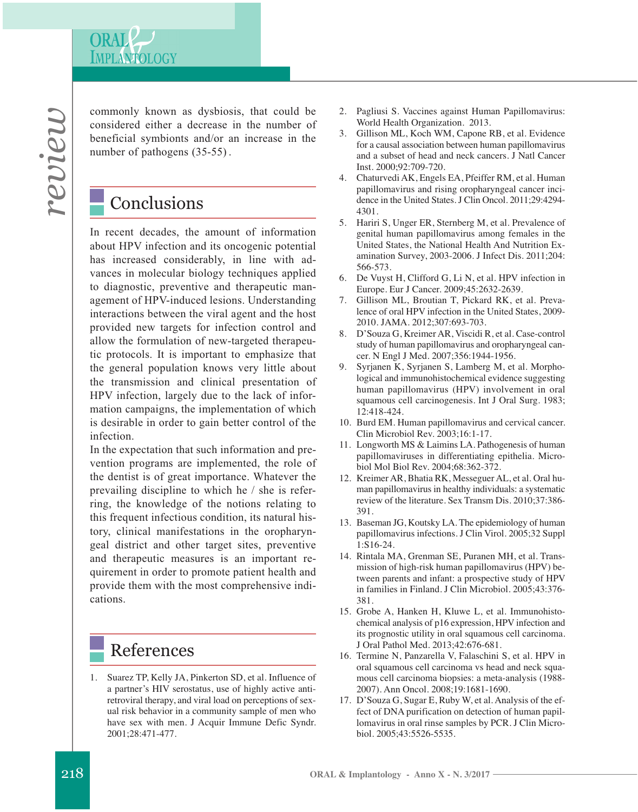commonly known as dysbiosis, that could be considered either a decrease in the number of beneficial symbionts and/or an increase in the number of pathogens  $(35-55)$ .

### **Conclusions**

**IMPLANTOLOGY** 

In recent decades, the amount of information about HPV infection and its oncogenic potential has increased considerably, in line with advances in molecular biology techniques applied to diagnostic, preventive and therapeutic management of HPV-induced lesions. Understanding interactions between the viral agent and the host provided new targets for infection control and allow the formulation of new-targeted therapeutic protocols. It is important to emphasize that the general population knows very little about the transmission and clinical presentation of HPV infection, largely due to the lack of information campaigns, the implementation of which is desirable in order to gain better control of the infection.

In the expectation that such information and prevention programs are implemented, the role of the dentist is of great importance. Whatever the prevailing discipline to which he / she is referring, the knowledge of the notions relating to this frequent infectious condition, its natural history, clinical manifestations in the oropharyngeal district and other target sites, preventive and therapeutic measures is an important requirement in order to promote patient health and provide them with the most comprehensive indications.

# References

1. Suarez TP, Kelly JA, Pinkerton SD, et al. Influence of a partner's HIV serostatus, use of highly active antiretroviral therapy, and viral load on perceptions of sexual risk behavior in a community sample of men who have sex with men. J Acquir Immune Defic Syndr. 2001;28:471-477.

- 2. Pagliusi S. Vaccines against Human Papillomavirus: World Health Organization. 2013.
- 3. Gillison ML, Koch WM, Capone RB, et al. Evidence for a causal association between human papillomavirus and a subset of head and neck cancers. J Natl Cancer Inst. 2000;92:709-720.
- 4. Chaturvedi AK, Engels EA, Pfeiffer RM, et al. Human papillomavirus and rising oropharyngeal cancer incidence in the United States. J Clin Oncol. 2011;29:4294- 4301.
- 5. Hariri S, Unger ER, Sternberg M, et al. Prevalence of genital human papillomavirus among females in the United States, the National Health And Nutrition Examination Survey, 2003-2006. J Infect Dis. 2011;204: 566-573.
- 6. De Vuyst H, Clifford G, Li N, et al. HPV infection in Europe. Eur J Cancer. 2009;45:2632-2639.
- 7. Gillison ML, Broutian T, Pickard RK, et al. Prevalence of oral HPV infection in the United States, 2009- 2010. JAMA. 2012;307:693-703.
- 8. D'Souza G, Kreimer AR, Viscidi R, et al. Case-control study of human papillomavirus and oropharyngeal cancer. N Engl J Med. 2007;356:1944-1956.
- 9. Syrjanen K, Syrjanen S, Lamberg M, et al. Morphological and immunohistochemical evidence suggesting human papillomavirus (HPV) involvement in oral squamous cell carcinogenesis. Int J Oral Surg. 1983; 12:418-424.
- 10. Burd EM. Human papillomavirus and cervical cancer. Clin Microbiol Rev. 2003;16:1-17.
- 11. Longworth MS & Laimins LA. Pathogenesis of human papillomaviruses in differentiating epithelia. Microbiol Mol Biol Rev. 2004;68:362-372.
- 12. Kreimer AR, Bhatia RK, Messeguer AL, et al. Oral human papillomavirus in healthy individuals: a systematic review of the literature. Sex Transm Dis. 2010;37:386- 391.
- 13. Baseman JG, Koutsky LA. The epidemiology of human papillomavirus infections. J Clin Virol. 2005;32 Suppl 1:S16-24.
- 14. Rintala MA, Grenman SE, Puranen MH, et al. Transmission of high-risk human papillomavirus (HPV) between parents and infant: a prospective study of HPV in families in Finland. J Clin Microbiol. 2005;43:376- 381.
- 15. Grobe A, Hanken H, Kluwe L, et al. Immunohistochemical analysis of p16 expression, HPV infection and its prognostic utility in oral squamous cell carcinoma. J Oral Pathol Med. 2013;42:676-681.
- 16. Termine N, Panzarella V, Falaschini S, et al. HPV in oral squamous cell carcinoma vs head and neck squamous cell carcinoma biopsies: a meta-analysis (1988- 2007). Ann Oncol. 2008;19:1681-1690.
- 17. D'Souza G, Sugar E, Ruby W, et al. Analysis of the effect of DNA purification on detection of human papillomavirus in oral rinse samples by PCR. J Clin Microbiol. 2005;43:5526-5535.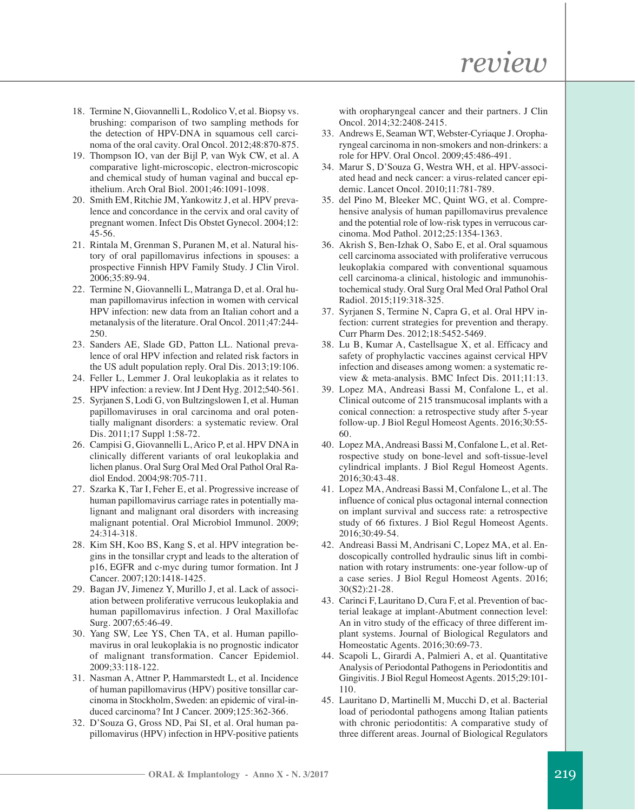- 18. Termine N, Giovannelli L, Rodolico V, et al. Biopsy vs. brushing: comparison of two sampling methods for the detection of HPV-DNA in squamous cell carcinoma of the oral cavity. Oral Oncol. 2012;48:870-875.
- 19. Thompson IO, van der Bijl P, van Wyk CW, et al. A comparative light-microscopic, electron-microscopic and chemical study of human vaginal and buccal epithelium. Arch Oral Biol. 2001;46:1091-1098.
- 20. Smith EM, Ritchie JM, Yankowitz J, et al. HPV prevalence and concordance in the cervix and oral cavity of pregnant women. Infect Dis Obstet Gynecol. 2004;12: 45-56.
- 21. Rintala M, Grenman S, Puranen M, et al. Natural history of oral papillomavirus infections in spouses: a prospective Finnish HPV Family Study. J Clin Virol. 2006;35:89-94.
- 22. Termine N, Giovannelli L, Matranga D, et al. Oral human papillomavirus infection in women with cervical HPV infection: new data from an Italian cohort and a metanalysis of the literature. Oral Oncol. 2011;47:244- 250.
- 23. Sanders AE, Slade GD, Patton LL. National prevalence of oral HPV infection and related risk factors in the US adult population reply. Oral Dis. 2013;19:106.
- 24. Feller L, Lemmer J. Oral leukoplakia as it relates to HPV infection: a review. Int J Dent Hyg. 2012;540-561.
- 25. Syrjanen S, Lodi G, von Bultzingslowen I, et al. Human papillomaviruses in oral carcinoma and oral potentially malignant disorders: a systematic review. Oral Dis. 2011;17 Suppl 1:58-72.
- 26. Campisi G, Giovannelli L, Arico P, et al. HPV DNA in clinically different variants of oral leukoplakia and lichen planus. Oral Surg Oral Med Oral Pathol Oral Radiol Endod. 2004;98:705-711.
- 27. Szarka K, Tar I, Feher E, et al. Progressive increase of human papillomavirus carriage rates in potentially malignant and malignant oral disorders with increasing malignant potential. Oral Microbiol Immunol. 2009; 24:314-318.
- 28. Kim SH, Koo BS, Kang S, et al. HPV integration begins in the tonsillar crypt and leads to the alteration of p16, EGFR and c-myc during tumor formation. Int J Cancer. 2007;120:1418-1425.
- 29. Bagan JV, Jimenez Y, Murillo J, et al. Lack of association between proliferative verrucous leukoplakia and human papillomavirus infection. J Oral Maxillofac Surg. 2007;65:46-49.
- 30. Yang SW, Lee YS, Chen TA, et al. Human papillomavirus in oral leukoplakia is no prognostic indicator of malignant transformation. Cancer Epidemiol. 2009;33:118-122.
- 31. Nasman A, Attner P, Hammarstedt L, et al. Incidence of human papillomavirus (HPV) positive tonsillar carcinoma in Stockholm, Sweden: an epidemic of viral-induced carcinoma? Int J Cancer. 2009;125:362-366.
- 32. D'Souza G, Gross ND, Pai SI, et al. Oral human papillomavirus (HPV) infection in HPV-positive patients

with oropharyngeal cancer and their partners. J Clin Oncol. 2014;32:2408-2415.

- 33. Andrews E, Seaman WT, Webster-Cyriaque J. Oropharyngeal carcinoma in non-smokers and non-drinkers: a role for HPV. Oral Oncol. 2009;45:486-491.
- 34. Marur S, D'Souza G, Westra WH, et al. HPV-associated head and neck cancer: a virus-related cancer epidemic. Lancet Oncol. 2010;11:781-789.
- 35. del Pino M, Bleeker MC, Quint WG, et al. Comprehensive analysis of human papillomavirus prevalence and the potential role of low-risk types in verrucous carcinoma. Mod Pathol. 2012;25:1354-1363.
- 36. Akrish S, Ben-Izhak O, Sabo E, et al. Oral squamous cell carcinoma associated with proliferative verrucous leukoplakia compared with conventional squamous cell carcinoma-a clinical, histologic and immunohistochemical study. Oral Surg Oral Med Oral Pathol Oral Radiol. 2015;119:318-325.
- 37. Syrjanen S, Termine N, Capra G, et al. Oral HPV infection: current strategies for prevention and therapy. Curr Pharm Des. 2012;18:5452-5469.
- 38. Lu B, Kumar A, Castellsague X, et al. Efficacy and safety of prophylactic vaccines against cervical HPV infection and diseases among women: a systematic review & meta-analysis. BMC Infect Dis. 2011;11:13.
- 39. Lopez MA, Andreasi Bassi M, Confalone L, et al. Clinical outcome of 215 transmucosal implants with a conical connection: a retrospective study after 5-year follow-up. J Biol Regul Homeost Agents. 2016;30:55- 60.
- 40. Lopez MA, Andreasi Bassi M, Confalone L, et al. Retrospective study on bone-level and soft-tissue-level cylindrical implants. J Biol Regul Homeost Agents. 2016;30:43-48.
- 41. Lopez MA, Andreasi Bassi M, Confalone L, et al. The influence of conical plus octagonal internal connection on implant survival and success rate: a retrospective study of 66 fixtures. J Biol Regul Homeost Agents. 2016;30:49-54.
- 42. Andreasi Bassi M, Andrisani C, Lopez MA, et al. Endoscopically controlled hydraulic sinus lift in combination with rotary instruments: one-year follow-up of a case series. J Biol Regul Homeost Agents. 2016; 30(S2):21-28.
- 43. Carinci F, Lauritano D, Cura F, et al. Prevention of bacterial leakage at implant-Abutment connection level: An in vitro study of the efficacy of three different implant systems. Journal of Biological Regulators and Homeostatic Agents. 2016;30:69-73.
- 44. Scapoli L, Girardi A, Palmieri A, et al. Quantitative Analysis of Periodontal Pathogens in Periodontitis and Gingivitis. J Biol Regul Homeost Agents. 2015;29:101- 110.
- 45. Lauritano D, Martinelli M, Mucchi D, et al. Bacterial load of periodontal pathogens among Italian patients with chronic periodontitis: A comparative study of three different areas. Journal of Biological Regulators